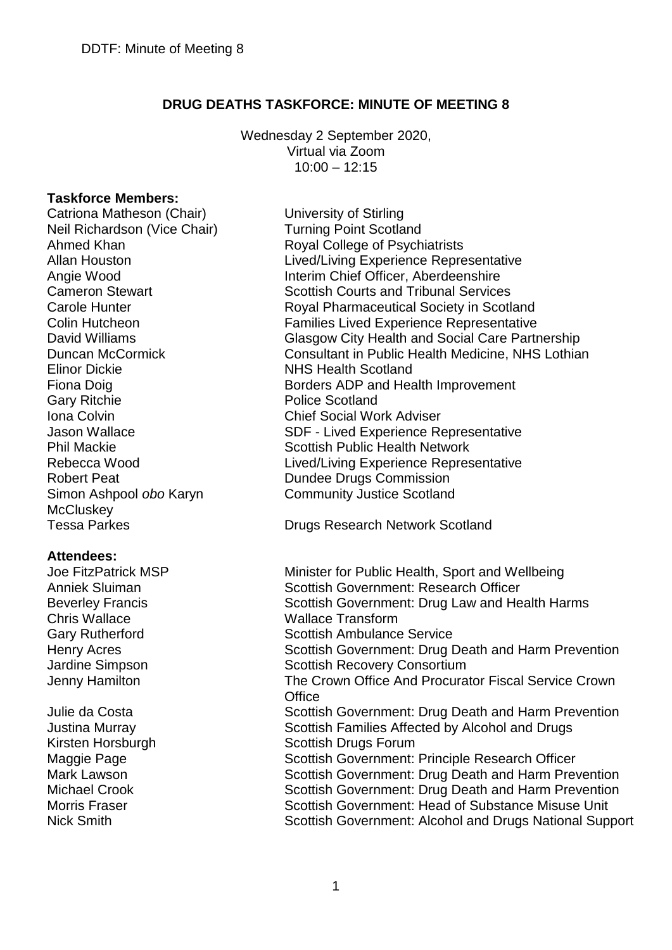# **DRUG DEATHS TASKFORCE: MINUTE OF MEETING 8**

Wednesday 2 September 2020, Virtual via Zoom 10:00 – 12:15

## **Taskforce Members:**

Catriona Matheson (Chair) University of Stirling Neil Richardson (Vice Chair) Turning Point Scotland Elinor Dickie NHS Health Scotland Gary Ritchie **Police Scotland** Iona Colvin Chief Social Work Adviser Robert Peat **Dundee Drugs Commission** Simon Ashpool *obo* Karyn McCluskey<br>Tessa Parkes

## **Attendees:**

Chris Wallace **Manual Chris Wallace Transform** 

Ahmed Khan **Royal College of Psychiatrists** Allan Houston Lived/Living Experience Representative Angie Wood **Interim Chief Officer, Aberdeenshire** Cameron Stewart **Scottish Courts and Tribunal Services** Carole Hunter **Royal Pharmaceutical Society in Scotland** Colin Hutcheon Families Lived Experience Representative David Williams Glasgow City Health and Social Care Partnership Duncan McCormick Consultant in Public Health Medicine, NHS Lothian Fiona Doig **Borders ADP** and Health Improvement Jason Wallace **SDF** - Lived Experience Representative Phil Mackie Scottish Public Health Network Rebecca Wood **Lived/Living Experience Representative** Community Justice Scotland

Drugs Research Network Scotland

Joe FitzPatrick MSP Minister for Public Health, Sport and Wellbeing Anniek Sluiman Scottish Government: Research Officer Beverley Francis Scottish Government: Drug Law and Health Harms Gary Rutherford Scottish Ambulance Service Henry Acres **Scottish Government: Drug Death and Harm Prevention** Jardine Simpson Scottish Recovery Consortium Jenny Hamilton The Crown Office And Procurator Fiscal Service Crown **Office** Julie da Costa Scottish Government: Drug Death and Harm Prevention Justina Murray Scottish Families Affected by Alcohol and Drugs Kirsten Horsburgh Scottish Drugs Forum Maggie Page Scottish Government: Principle Research Officer Mark Lawson Scottish Government: Drug Death and Harm Prevention Michael Crook Scottish Government: Drug Death and Harm Prevention Morris Fraser **Scottish Government: Head of Substance Misuse Unit** Nick Smith Scottish Government: Alcohol and Drugs National Support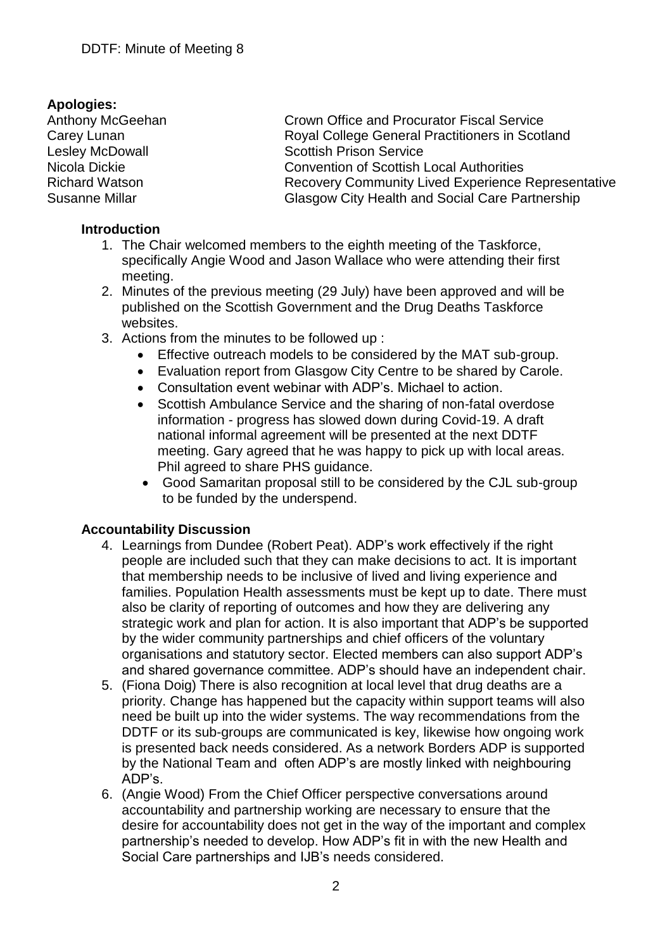**Apologies:**

Crown Office and Procurator Fiscal Service Carey Lunan **Carey Lunan** Royal College General Practitioners in Scotland Lesley McDowall **Scottish Prison Service** Nicola Dickie<br>
Richard Watson<br>
Recovery Community Lived Experience Recovery Community Lived Experience Representative Susanne Millar **Glasgow City Health and Social Care Partnership** 

# **Introduction**

- 1. The Chair welcomed members to the eighth meeting of the Taskforce, specifically Angie Wood and Jason Wallace who were attending their first meeting.
- 2. Minutes of the previous meeting (29 July) have been approved and will be published on the Scottish Government and the Drug Deaths Taskforce websites.
- 3. Actions from the minutes to be followed up :
	- Effective outreach models to be considered by the MAT sub-group.
	- Evaluation report from Glasgow City Centre to be shared by Carole.
	- Consultation event webinar with ADP's. Michael to action.
	- Scottish Ambulance Service and the sharing of non-fatal overdose information - progress has slowed down during Covid-19. A draft national informal agreement will be presented at the next DDTF meeting. Gary agreed that he was happy to pick up with local areas. Phil agreed to share PHS guidance.
	- Good Samaritan proposal still to be considered by the CJL sub-group to be funded by the underspend.

# **Accountability Discussion**

- 4. Learnings from Dundee (Robert Peat). ADP's work effectively if the right people are included such that they can make decisions to act. It is important that membership needs to be inclusive of lived and living experience and families. Population Health assessments must be kept up to date. There must also be clarity of reporting of outcomes and how they are delivering any strategic work and plan for action. It is also important that ADP's be supported by the wider community partnerships and chief officers of the voluntary organisations and statutory sector. Elected members can also support ADP's and shared governance committee. ADP's should have an independent chair.
- 5. (Fiona Doig) There is also recognition at local level that drug deaths are a priority. Change has happened but the capacity within support teams will also need be built up into the wider systems. The way recommendations from the DDTF or its sub-groups are communicated is key, likewise how ongoing work is presented back needs considered. As a network Borders ADP is supported by the National Team and often ADP's are mostly linked with neighbouring ADP's.
- 6. (Angie Wood) From the Chief Officer perspective conversations around accountability and partnership working are necessary to ensure that the desire for accountability does not get in the way of the important and complex partnership's needed to develop. How ADP's fit in with the new Health and Social Care partnerships and IJB's needs considered.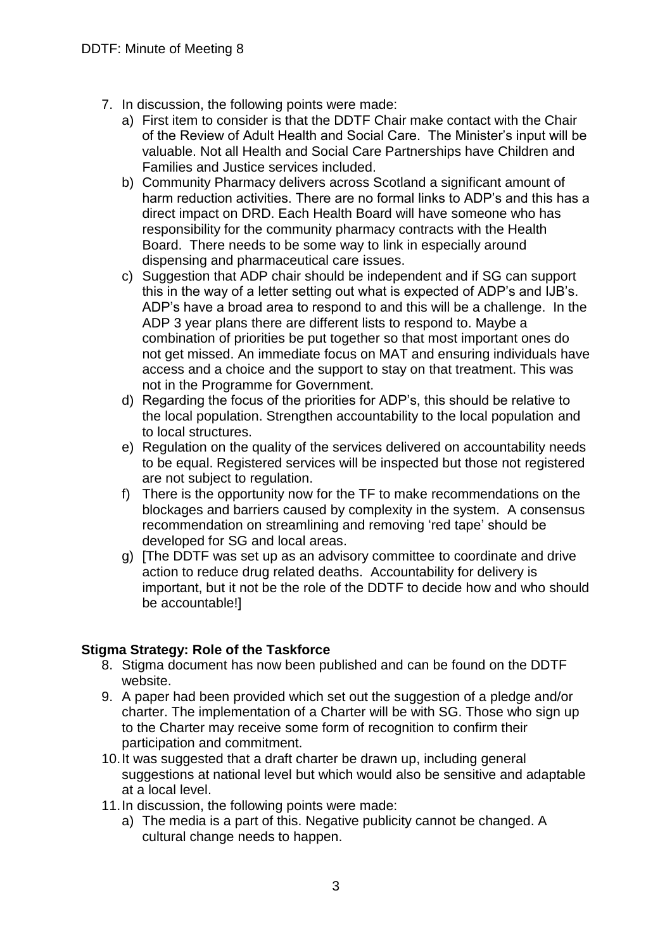- 7. In discussion, the following points were made:
	- a) First item to consider is that the DDTF Chair make contact with the Chair of the Review of Adult Health and Social Care. The Minister's input will be valuable. Not all Health and Social Care Partnerships have Children and Families and Justice services included.
	- b) Community Pharmacy delivers across Scotland a significant amount of harm reduction activities. There are no formal links to ADP's and this has a direct impact on DRD. Each Health Board will have someone who has responsibility for the community pharmacy contracts with the Health Board. There needs to be some way to link in especially around dispensing and pharmaceutical care issues.
	- c) Suggestion that ADP chair should be independent and if SG can support this in the way of a letter setting out what is expected of ADP's and IJB's. ADP's have a broad area to respond to and this will be a challenge. In the ADP 3 year plans there are different lists to respond to. Maybe a combination of priorities be put together so that most important ones do not get missed. An immediate focus on MAT and ensuring individuals have access and a choice and the support to stay on that treatment. This was not in the Programme for Government.
	- d) Regarding the focus of the priorities for ADP's, this should be relative to the local population. Strengthen accountability to the local population and to local structures.
	- e) Regulation on the quality of the services delivered on accountability needs to be equal. Registered services will be inspected but those not registered are not subject to regulation.
	- f) There is the opportunity now for the TF to make recommendations on the blockages and barriers caused by complexity in the system. A consensus recommendation on streamlining and removing 'red tape' should be developed for SG and local areas.
	- g) [The DDTF was set up as an advisory committee to coordinate and drive action to reduce drug related deaths. Accountability for delivery is important, but it not be the role of the DDTF to decide how and who should be accountable!]

# **Stigma Strategy: Role of the Taskforce**

- 8. Stigma document has now been published and can be found on the DDTF website.
- 9. A paper had been provided which set out the suggestion of a pledge and/or charter. The implementation of a Charter will be with SG. Those who sign up to the Charter may receive some form of recognition to confirm their participation and commitment.
- 10.It was suggested that a draft charter be drawn up, including general suggestions at national level but which would also be sensitive and adaptable at a local level.
- 11.In discussion, the following points were made:
	- a) The media is a part of this. Negative publicity cannot be changed. A cultural change needs to happen.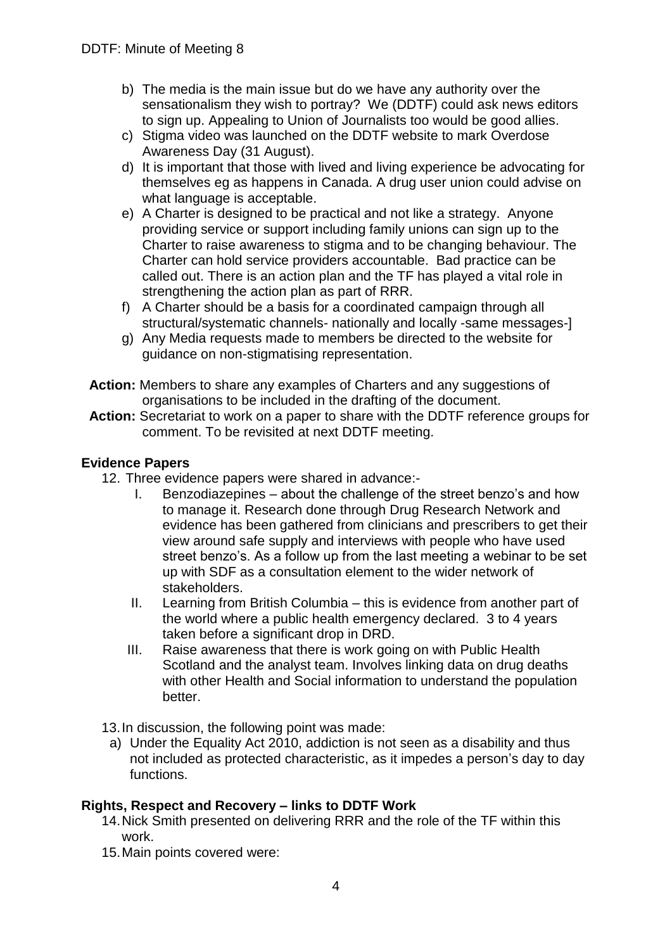- b) The media is the main issue but do we have any authority over the sensationalism they wish to portray? We (DDTF) could ask news editors to sign up. Appealing to Union of Journalists too would be good allies.
- c) Stigma video was launched on the DDTF website to mark Overdose Awareness Day (31 August).
- d) It is important that those with lived and living experience be advocating for themselves eg as happens in Canada. A drug user union could advise on what language is acceptable.
- e) A Charter is designed to be practical and not like a strategy. Anyone providing service or support including family unions can sign up to the Charter to raise awareness to stigma and to be changing behaviour. The Charter can hold service providers accountable. Bad practice can be called out. There is an action plan and the TF has played a vital role in strengthening the action plan as part of RRR.
- f) A Charter should be a basis for a coordinated campaign through all structural/systematic channels- nationally and locally -same messages-]
- g) Any Media requests made to members be directed to the website for guidance on non-stigmatising representation.
- **Action:** Members to share any examples of Charters and any suggestions of organisations to be included in the drafting of the document.
- **Action:** Secretariat to work on a paper to share with the DDTF reference groups for comment. To be revisited at next DDTF meeting.

# **Evidence Papers**

- 12. Three evidence papers were shared in advance:-
	- I. Benzodiazepines about the challenge of the street benzo's and how to manage it. Research done through Drug Research Network and evidence has been gathered from clinicians and prescribers to get their view around safe supply and interviews with people who have used street benzo's. As a follow up from the last meeting a webinar to be set up with SDF as a consultation element to the wider network of stakeholders.
	- II. Learning from British Columbia this is evidence from another part of the world where a public health emergency declared. 3 to 4 years taken before a significant drop in DRD.
	- III. Raise awareness that there is work going on with Public Health Scotland and the analyst team. Involves linking data on drug deaths with other Health and Social information to understand the population better.
- 13.In discussion, the following point was made:
	- a) Under the Equality Act 2010, addiction is not seen as a disability and thus not included as protected characteristic, as it impedes a person's day to day functions.

# **Rights, Respect and Recovery – links to DDTF Work**

- 14.Nick Smith presented on delivering RRR and the role of the TF within this work.
- 15.Main points covered were: